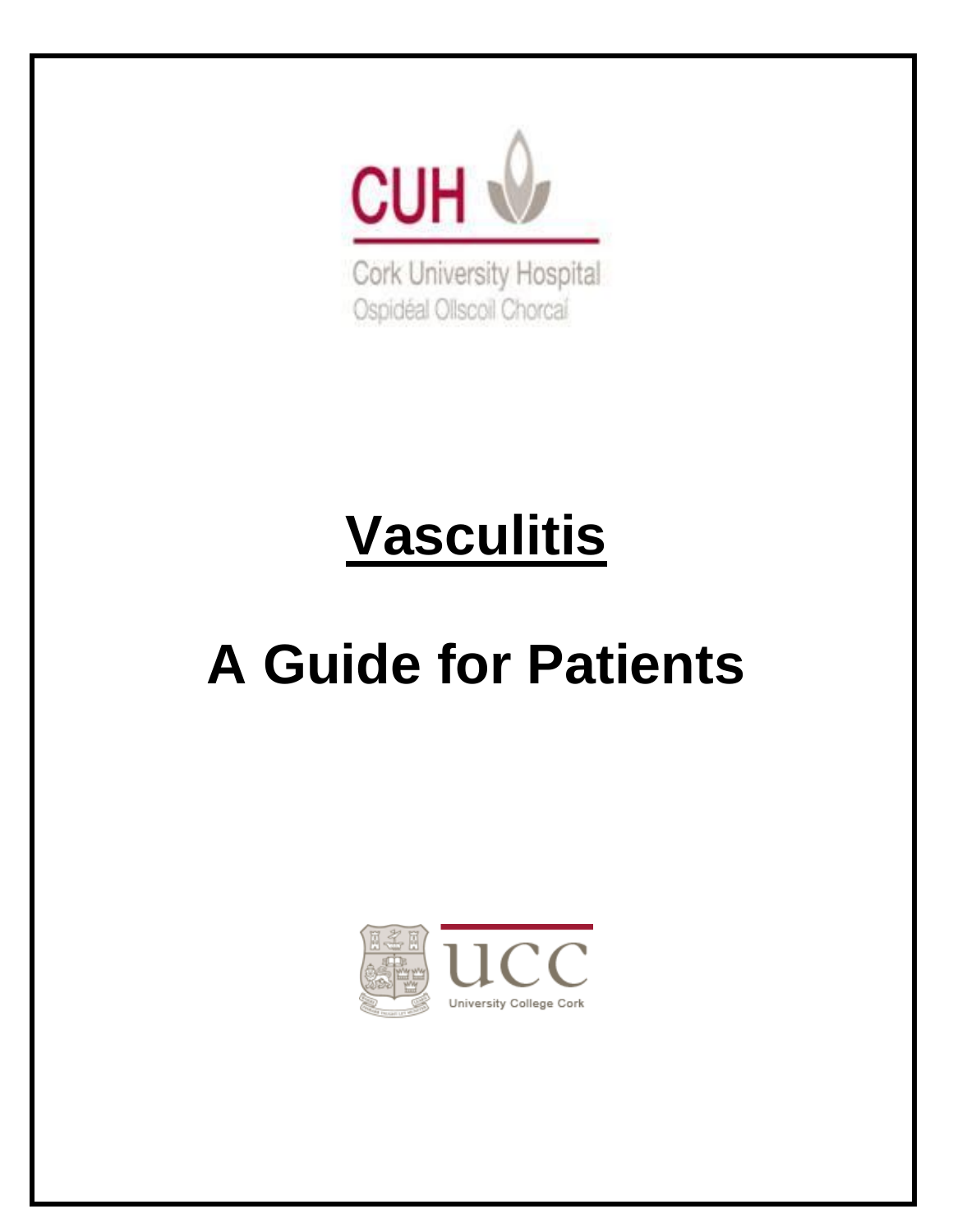

Cork University Hospital Ospidéal Ollscoil Chorcaí

# **Vasculitis**

# **A Guide for Patients**

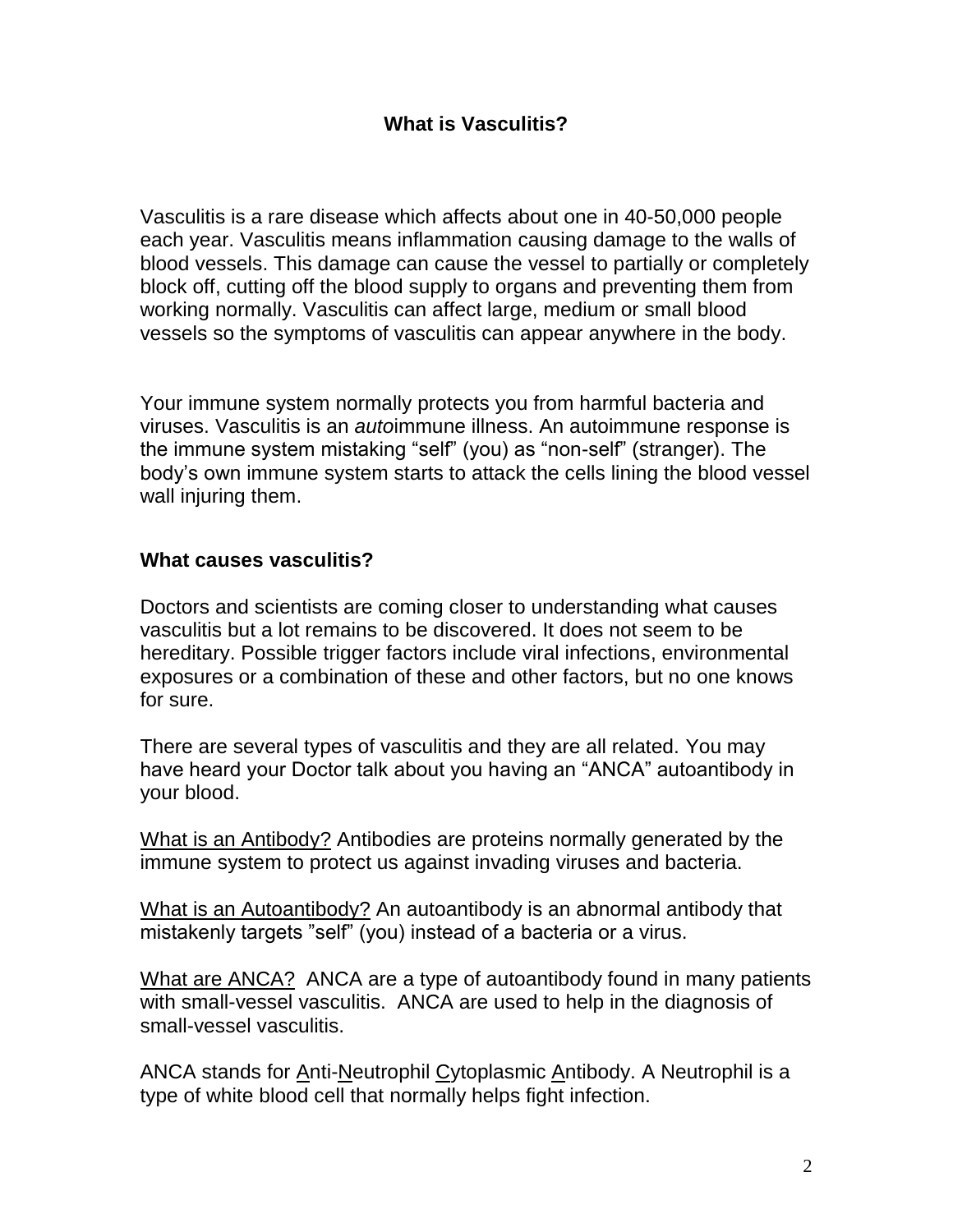# **What is Vasculitis?**

Vasculitis is a rare disease which affects about one in 40-50,000 people each year. Vasculitis means inflammation causing damage to the walls of blood vessels. This damage can cause the vessel to partially or completely block off, cutting off the blood supply to organs and preventing them from working normally. Vasculitis can affect large, medium or small blood vessels so the symptoms of vasculitis can appear anywhere in the body.

Your immune system normally protects you from harmful bacteria and viruses. Vasculitis is an *auto*immune illness. An autoimmune response is the immune system mistaking "self" (you) as "non-self" (stranger). The body's own immune system starts to attack the cells lining the blood vessel wall injuring them.

#### **What causes vasculitis?**

Doctors and scientists are coming closer to understanding what causes vasculitis but a lot remains to be discovered. It does not seem to be hereditary. Possible trigger factors include viral infections, environmental exposures or a combination of these and other factors, but no one knows for sure.

There are several types of vasculitis and they are all related. You may have heard your Doctor talk about you having an "ANCA" autoantibody in your blood.

What is an Antibody? Antibodies are proteins normally generated by the immune system to protect us against invading viruses and bacteria.

What is an Autoantibody? An autoantibody is an abnormal antibody that mistakenly targets "self" (you) instead of a bacteria or a virus.

What are ANCA? ANCA are a type of autoantibody found in many patients with small-vessel vasculitis. ANCA are used to help in the diagnosis of small-vessel vasculitis.

ANCA stands for Anti-Neutrophil Cytoplasmic Antibody. A Neutrophil is a type of white blood cell that normally helps fight infection.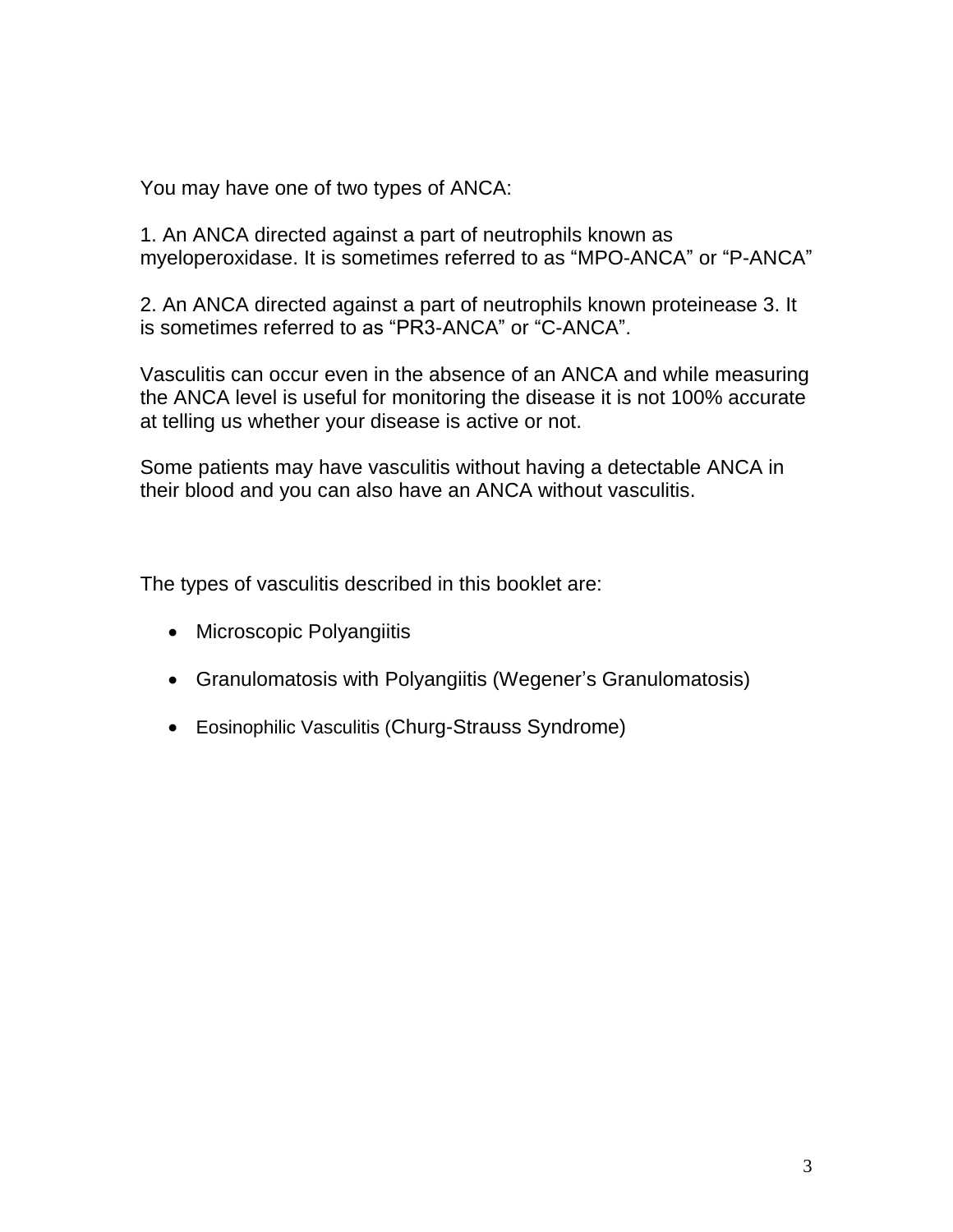You may have one of two types of ANCA:

1. An ANCA directed against a part of neutrophils known as myeloperoxidase. It is sometimes referred to as "MPO-ANCA" or "P-ANCA"

2. An ANCA directed against a part of neutrophils known proteinease 3. It is sometimes referred to as "PR3-ANCA" or "C-ANCA".

Vasculitis can occur even in the absence of an ANCA and while measuring the ANCA level is useful for monitoring the disease it is not 100% accurate at telling us whether your disease is active or not.

Some patients may have vasculitis without having a detectable ANCA in their blood and you can also have an ANCA without vasculitis.

The types of vasculitis described in this booklet are:

- Microscopic Polyangiitis
- Granulomatosis with Polyangiitis (Wegener's Granulomatosis)
- Eosinophilic Vasculitis (Churg-Strauss Syndrome)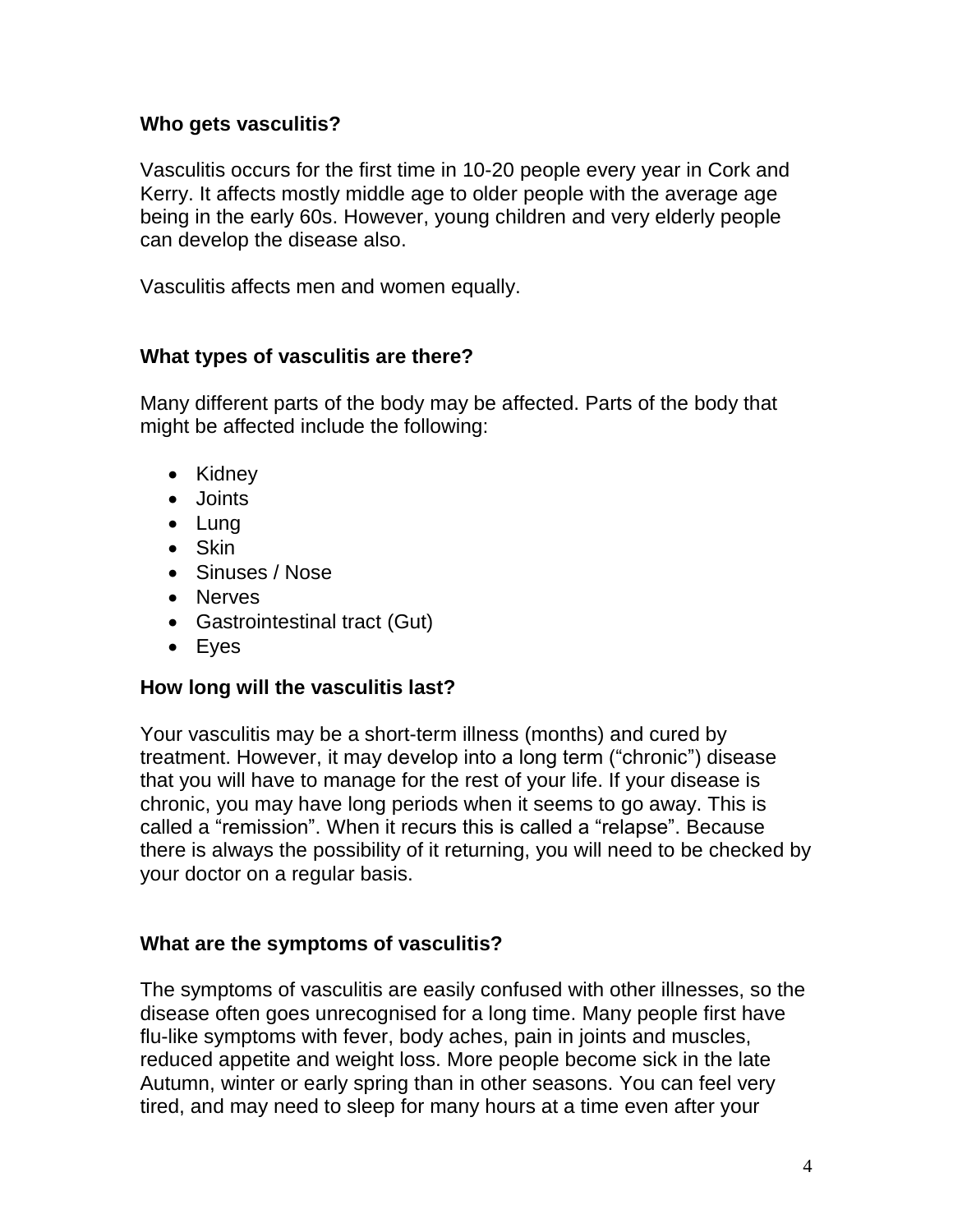### **Who gets vasculitis?**

Vasculitis occurs for the first time in 10-20 people every year in Cork and Kerry. It affects mostly middle age to older people with the average age being in the early 60s. However, young children and very elderly people can develop the disease also.

Vasculitis affects men and women equally.

#### **What types of vasculitis are there?**

Many different parts of the body may be affected. Parts of the body that might be affected include the following:

- Kidney
- Joints
- Lung
- Skin
- Sinuses / Nose
- Nerves
- Gastrointestinal tract (Gut)
- Eyes

#### **How long will the vasculitis last?**

Your vasculitis may be a short-term illness (months) and cured by treatment. However, it may develop into a long term ("chronic") disease that you will have to manage for the rest of your life. If your disease is chronic, you may have long periods when it seems to go away. This is called a "remission". When it recurs this is called a "relapse". Because there is always the possibility of it returning, you will need to be checked by your doctor on a regular basis.

# **What are the symptoms of vasculitis?**

The symptoms of vasculitis are easily confused with other illnesses, so the disease often goes unrecognised for a long time. Many people first have flu-like symptoms with fever, body aches, pain in joints and muscles, reduced appetite and weight loss. More people become sick in the late Autumn, winter or early spring than in other seasons. You can feel very tired, and may need to sleep for many hours at a time even after your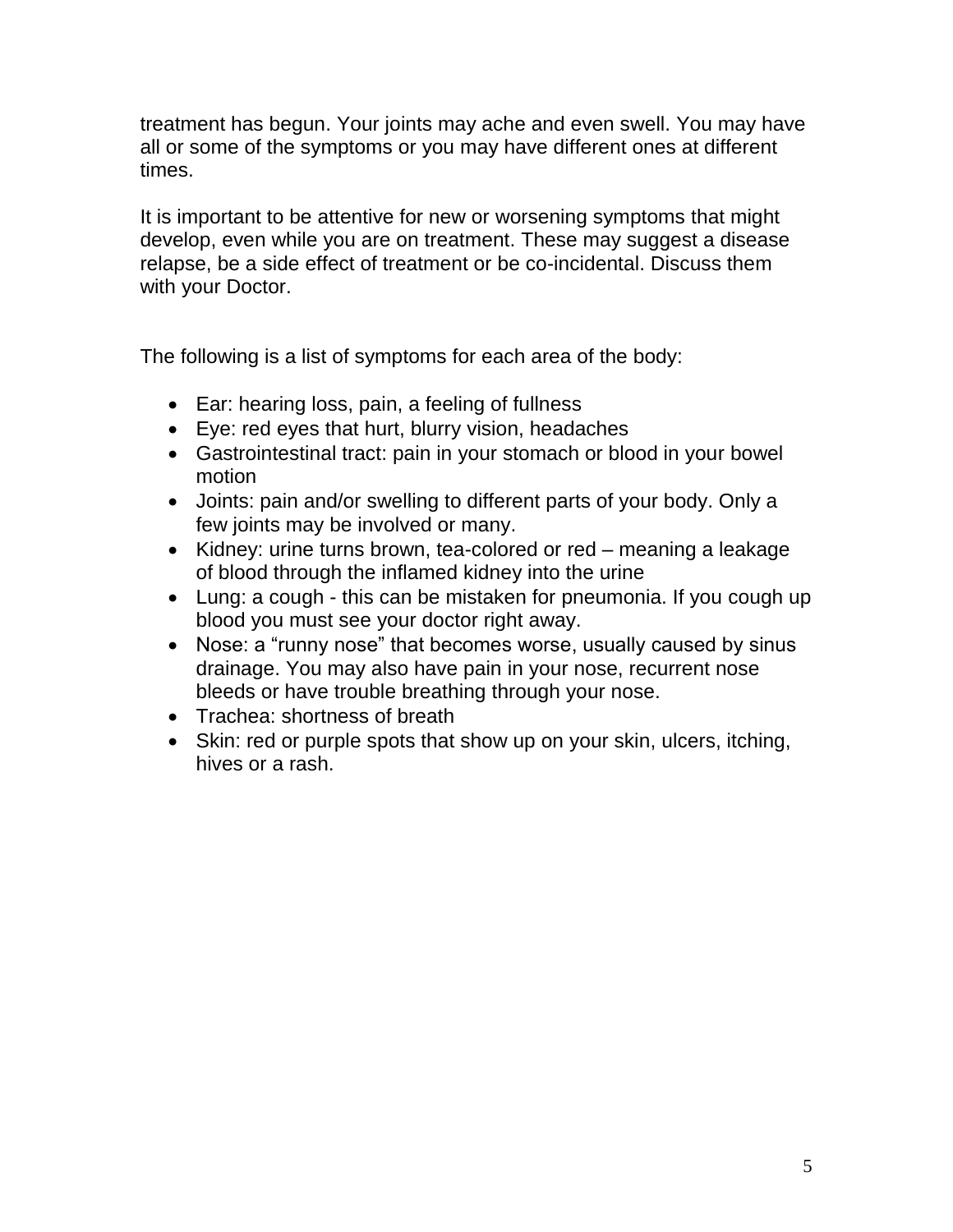treatment has begun. Your joints may ache and even swell. You may have all or some of the symptoms or you may have different ones at different times.

It is important to be attentive for new or worsening symptoms that might develop, even while you are on treatment. These may suggest a disease relapse, be a side effect of treatment or be co-incidental. Discuss them with your Doctor.

The following is a list of symptoms for each area of the body:

- Ear: hearing loss, pain, a feeling of fullness
- Eye: red eyes that hurt, blurry vision, headaches
- Gastrointestinal tract: pain in your stomach or blood in your bowel motion
- Joints: pain and/or swelling to different parts of your body. Only a few joints may be involved or many.
- Kidney: urine turns brown, tea-colored or red meaning a leakage of blood through the inflamed kidney into the urine
- Lung: a cough this can be mistaken for pneumonia. If you cough up blood you must see your doctor right away.
- Nose: a "runny nose" that becomes worse, usually caused by sinus drainage. You may also have pain in your nose, recurrent nose bleeds or have trouble breathing through your nose.
- Trachea: shortness of breath
- Skin: red or purple spots that show up on your skin, ulcers, itching, hives or a rash.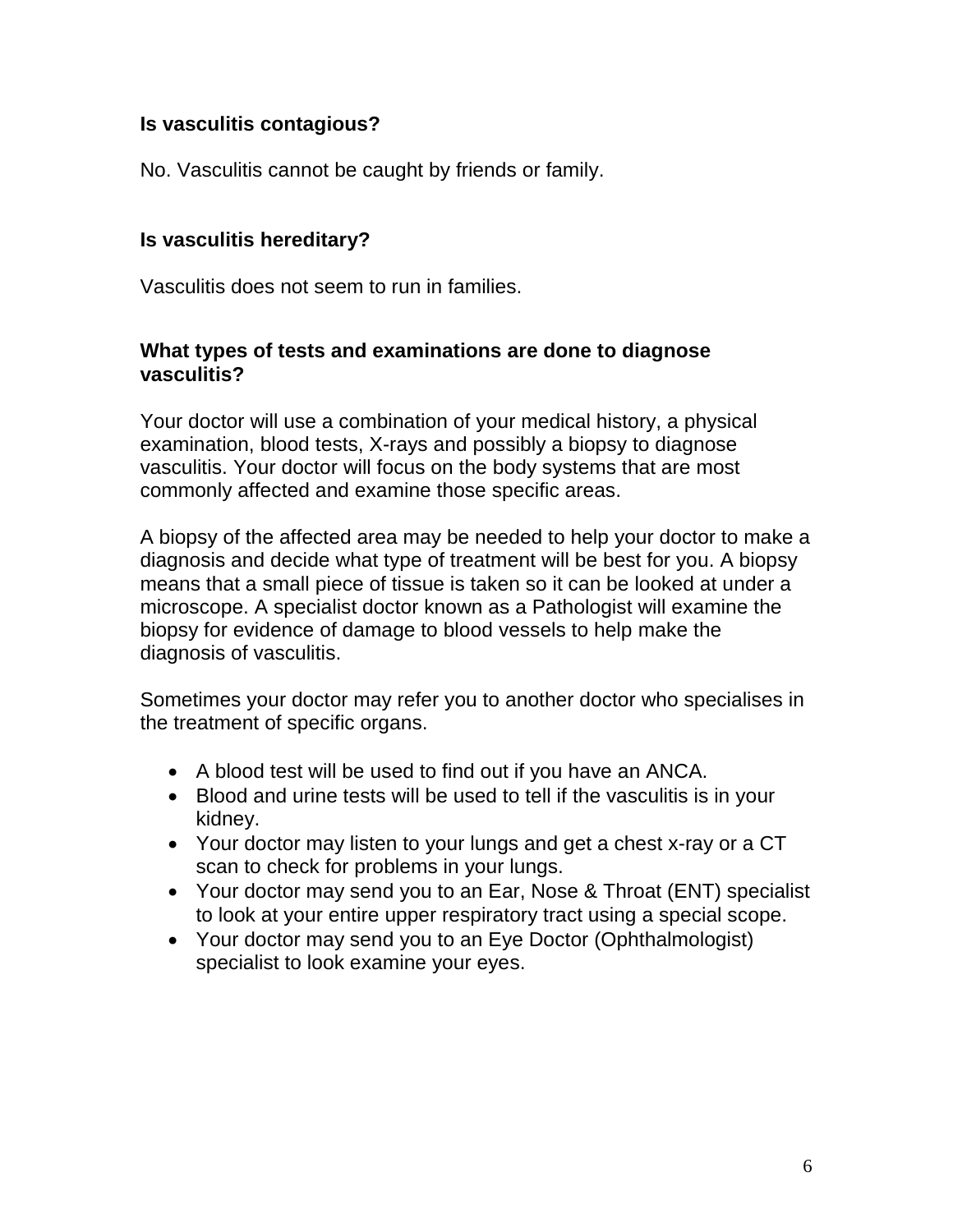## **Is vasculitis contagious?**

No. Vasculitis cannot be caught by friends or family.

## **Is vasculitis hereditary?**

Vasculitis does not seem to run in families.

#### **What types of tests and examinations are done to diagnose vasculitis?**

Your doctor will use a combination of your medical history, a physical examination, blood tests, X-rays and possibly a biopsy to diagnose vasculitis. Your doctor will focus on the body systems that are most commonly affected and examine those specific areas.

A biopsy of the affected area may be needed to help your doctor to make a diagnosis and decide what type of treatment will be best for you. A biopsy means that a small piece of tissue is taken so it can be looked at under a microscope. A specialist doctor known as a Pathologist will examine the biopsy for evidence of damage to blood vessels to help make the diagnosis of vasculitis.

Sometimes your doctor may refer you to another doctor who specialises in the treatment of specific organs.

- A blood test will be used to find out if you have an ANCA.
- Blood and urine tests will be used to tell if the vasculitis is in your kidney.
- Your doctor may listen to your lungs and get a chest x-ray or a CT scan to check for problems in your lungs.
- Your doctor may send you to an Ear, Nose & Throat (ENT) specialist to look at your entire upper respiratory tract using a special scope.
- Your doctor may send you to an Eye Doctor (Ophthalmologist) specialist to look examine your eyes.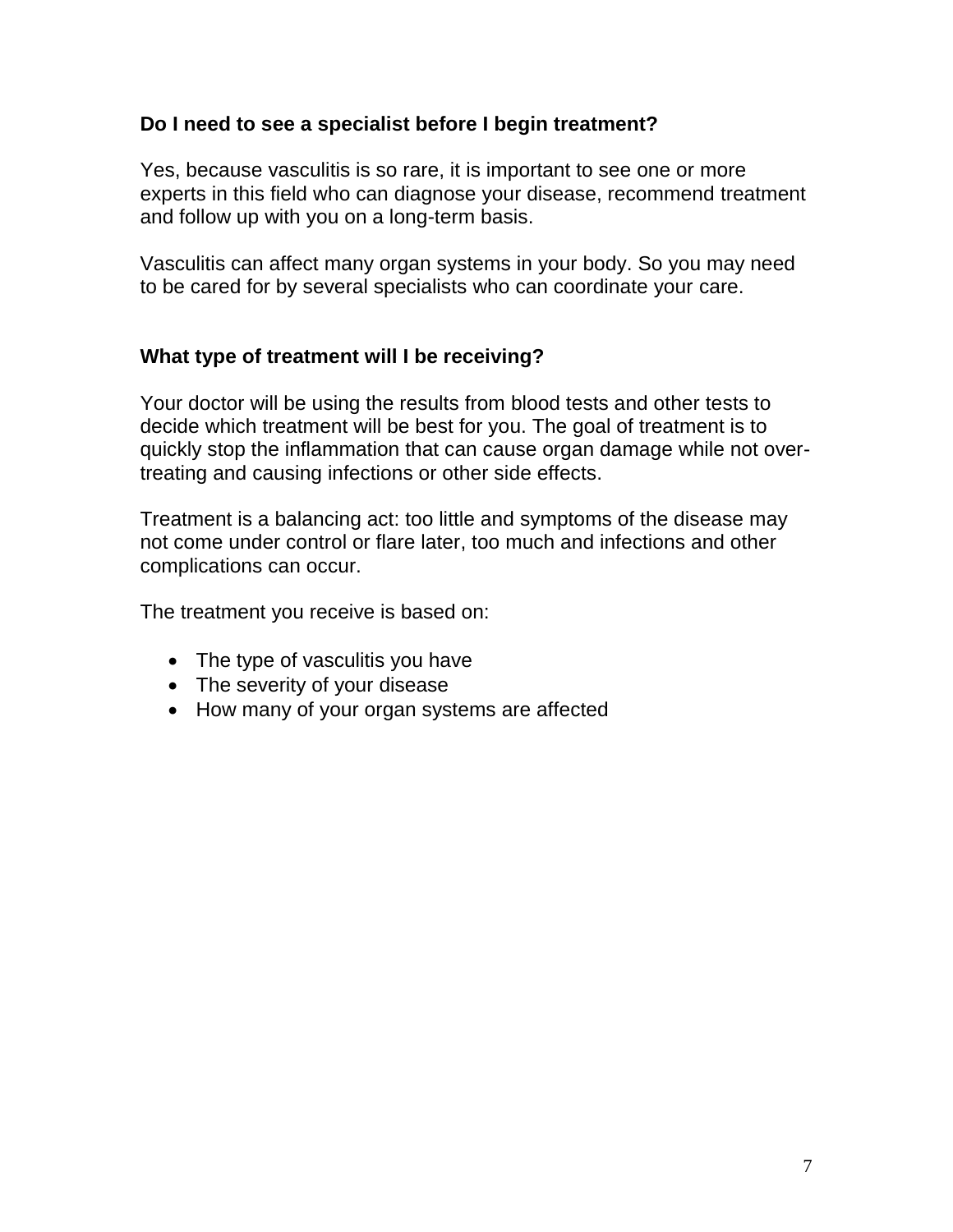### **Do I need to see a specialist before I begin treatment?**

Yes, because vasculitis is so rare, it is important to see one or more experts in this field who can diagnose your disease, recommend treatment and follow up with you on a long-term basis.

Vasculitis can affect many organ systems in your body. So you may need to be cared for by several specialists who can coordinate your care.

#### **What type of treatment will I be receiving?**

Your doctor will be using the results from blood tests and other tests to decide which treatment will be best for you. The goal of treatment is to quickly stop the inflammation that can cause organ damage while not overtreating and causing infections or other side effects.

Treatment is a balancing act: too little and symptoms of the disease may not come under control or flare later, too much and infections and other complications can occur.

The treatment you receive is based on:

- The type of vasculitis you have
- The severity of your disease
- How many of your organ systems are affected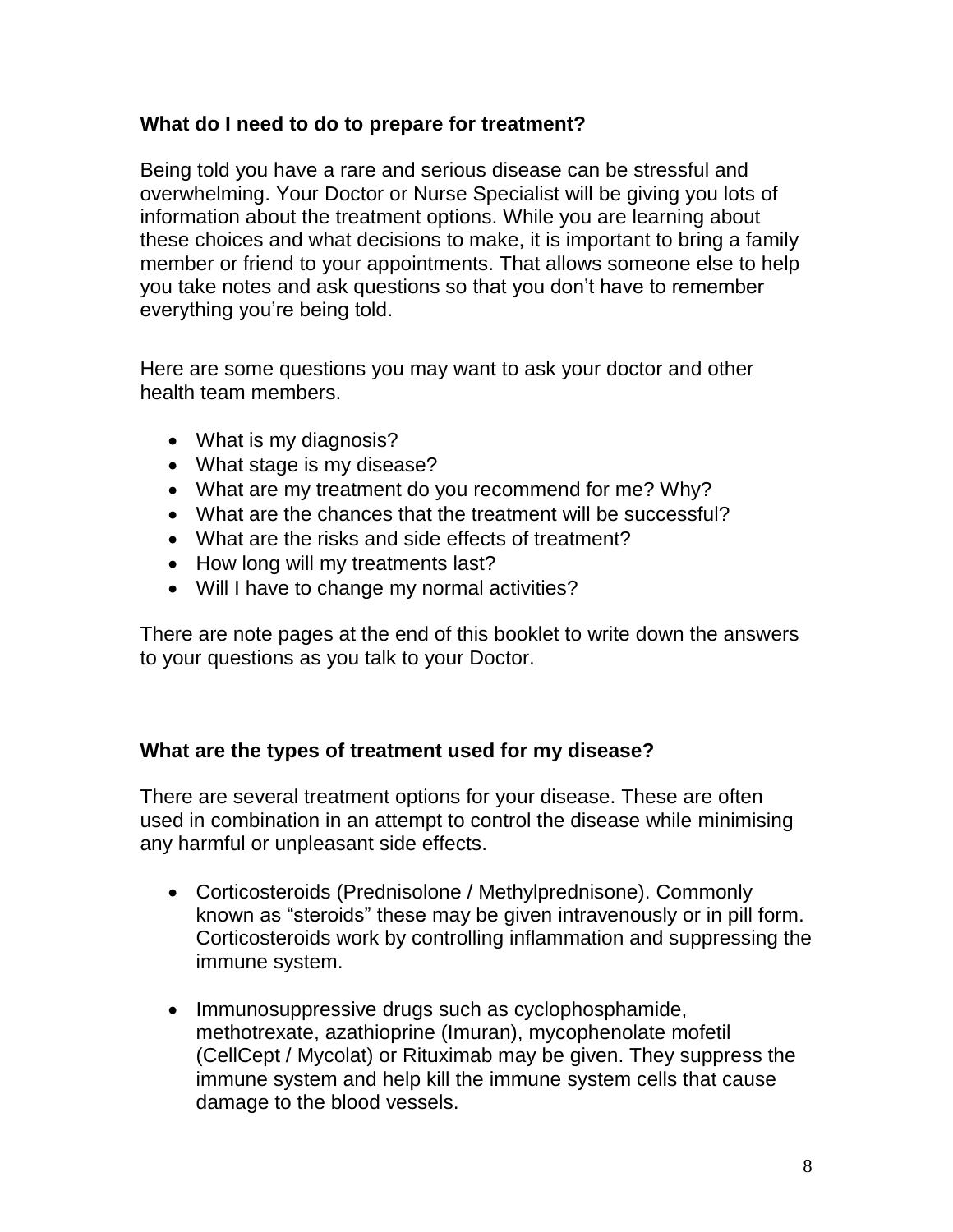# **What do I need to do to prepare for treatment?**

Being told you have a rare and serious disease can be stressful and overwhelming. Your Doctor or Nurse Specialist will be giving you lots of information about the treatment options. While you are learning about these choices and what decisions to make, it is important to bring a family member or friend to your appointments. That allows someone else to help you take notes and ask questions so that you don't have to remember everything you're being told.

Here are some questions you may want to ask your doctor and other health team members.

- What is my diagnosis?
- What stage is my disease?
- What are my treatment do you recommend for me? Why?
- What are the chances that the treatment will be successful?
- What are the risks and side effects of treatment?
- How long will my treatments last?
- Will I have to change my normal activities?

There are note pages at the end of this booklet to write down the answers to your questions as you talk to your Doctor.

# **What are the types of treatment used for my disease?**

There are several treatment options for your disease. These are often used in combination in an attempt to control the disease while minimising any harmful or unpleasant side effects.

- Corticosteroids (Prednisolone / Methylprednisone). Commonly known as "steroids" these may be given intravenously or in pill form. Corticosteroids work by controlling inflammation and suppressing the immune system.
- Immunosuppressive drugs such as cyclophosphamide, methotrexate, azathioprine (Imuran), mycophenolate mofetil (CellCept / Mycolat) or Rituximab may be given. They suppress the immune system and help kill the immune system cells that cause damage to the blood vessels.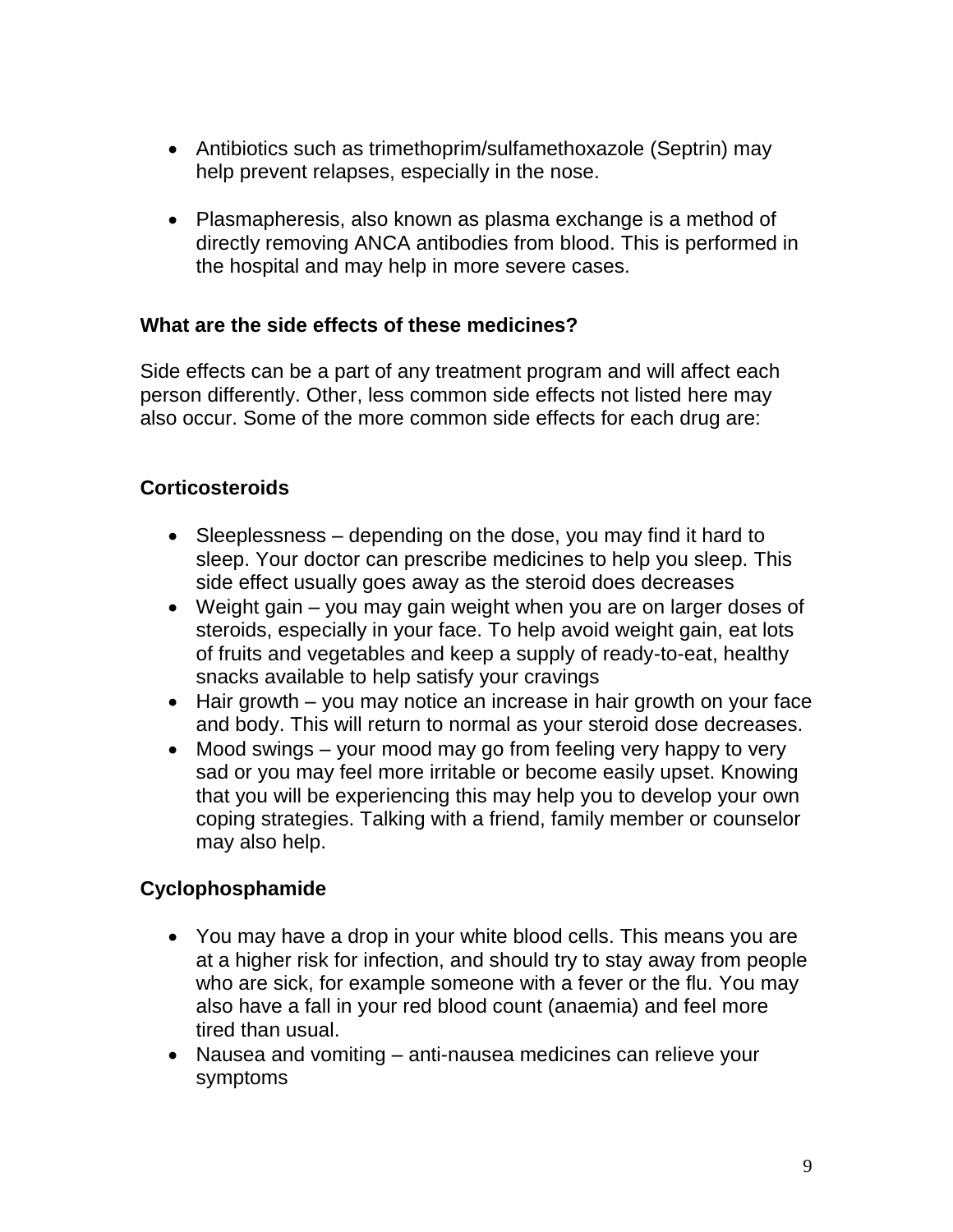- Antibiotics such as trimethoprim/sulfamethoxazole (Septrin) may help prevent relapses, especially in the nose.
- Plasmapheresis, also known as plasma exchange is a method of directly removing ANCA antibodies from blood. This is performed in the hospital and may help in more severe cases.

#### **What are the side effects of these medicines?**

Side effects can be a part of any treatment program and will affect each person differently. Other, less common side effects not listed here may also occur. Some of the more common side effects for each drug are:

# **Corticosteroids**

- Sleeplessness depending on the dose, you may find it hard to sleep. Your doctor can prescribe medicines to help you sleep. This side effect usually goes away as the steroid does decreases
- Weight gain you may gain weight when you are on larger doses of steroids, especially in your face. To help avoid weight gain, eat lots of fruits and vegetables and keep a supply of ready-to-eat, healthy snacks available to help satisfy your cravings
- Hair growth you may notice an increase in hair growth on your face and body. This will return to normal as your steroid dose decreases.
- Mood swings your mood may go from feeling very happy to very sad or you may feel more irritable or become easily upset. Knowing that you will be experiencing this may help you to develop your own coping strategies. Talking with a friend, family member or counselor may also help.

# **Cyclophosphamide**

- You may have a drop in your white blood cells. This means you are at a higher risk for infection, and should try to stay away from people who are sick, for example someone with a fever or the flu. You may also have a fall in your red blood count (anaemia) and feel more tired than usual.
- Nausea and vomiting anti-nausea medicines can relieve your symptoms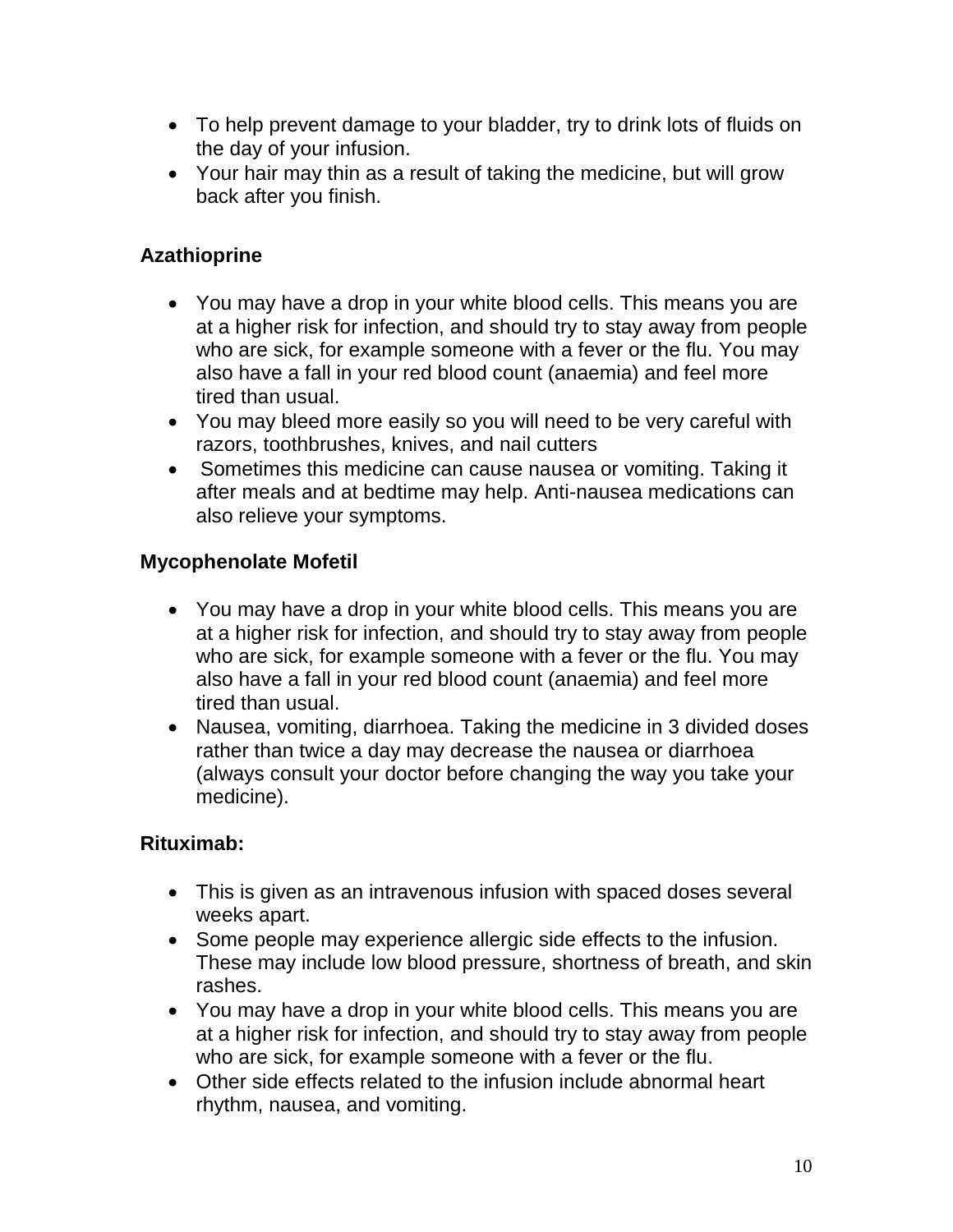- To help prevent damage to your bladder, try to drink lots of fluids on the day of your infusion.
- Your hair may thin as a result of taking the medicine, but will grow back after you finish.

# **Azathioprine**

- You may have a drop in your white blood cells. This means you are at a higher risk for infection, and should try to stay away from people who are sick, for example someone with a fever or the flu. You may also have a fall in your red blood count (anaemia) and feel more tired than usual.
- You may bleed more easily so you will need to be very careful with razors, toothbrushes, knives, and nail cutters
- Sometimes this medicine can cause nausea or vomiting. Taking it after meals and at bedtime may help. Anti-nausea medications can also relieve your symptoms.

# **Mycophenolate Mofetil**

- You may have a drop in your white blood cells. This means you are at a higher risk for infection, and should try to stay away from people who are sick, for example someone with a fever or the flu. You may also have a fall in your red blood count (anaemia) and feel more tired than usual.
- Nausea, vomiting, diarrhoea. Taking the medicine in 3 divided doses rather than twice a day may decrease the nausea or diarrhoea (always consult your doctor before changing the way you take your medicine).

# **Rituximab:**

- This is given as an intravenous infusion with spaced doses several weeks apart.
- Some people may experience allergic side effects to the infusion. These may include low blood pressure, shortness of breath, and skin rashes.
- You may have a drop in your white blood cells. This means you are at a higher risk for infection, and should try to stay away from people who are sick, for example someone with a fever or the flu.
- Other side effects related to the infusion include abnormal heart rhythm, nausea, and vomiting.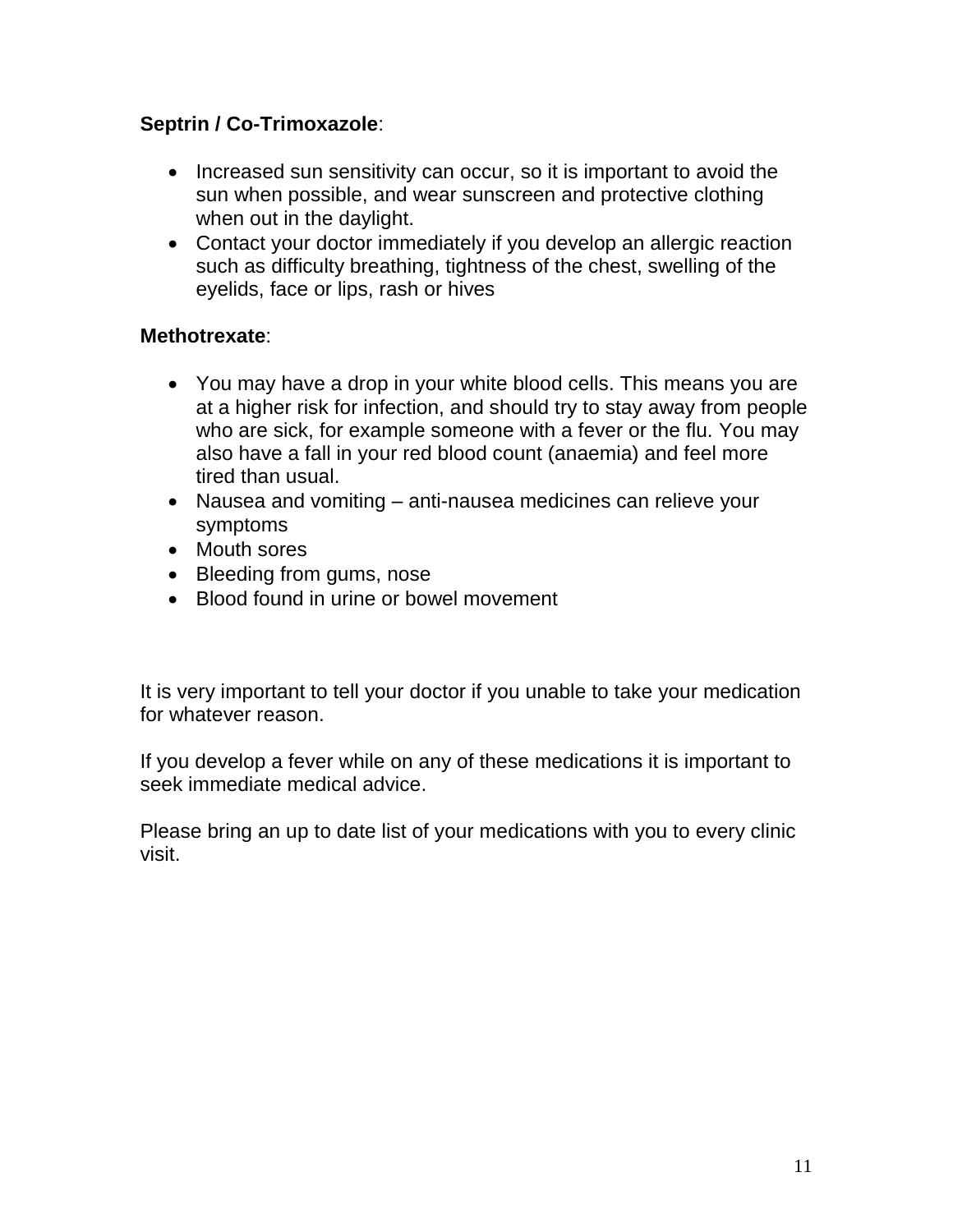# **Septrin / Co-Trimoxazole**:

- Increased sun sensitivity can occur, so it is important to avoid the sun when possible, and wear sunscreen and protective clothing when out in the daylight.
- Contact your doctor immediately if you develop an allergic reaction such as difficulty breathing, tightness of the chest, swelling of the eyelids, face or lips, rash or hives

# **Methotrexate**:

- You may have a drop in your white blood cells. This means you are at a higher risk for infection, and should try to stay away from people who are sick, for example someone with a fever or the flu. You may also have a fall in your red blood count (anaemia) and feel more tired than usual.
- Nausea and vomiting anti-nausea medicines can relieve your symptoms
- Mouth sores
- Bleeding from gums, nose
- Blood found in urine or bowel movement

It is very important to tell your doctor if you unable to take your medication for whatever reason.

If you develop a fever while on any of these medications it is important to seek immediate medical advice.

Please bring an up to date list of your medications with you to every clinic visit.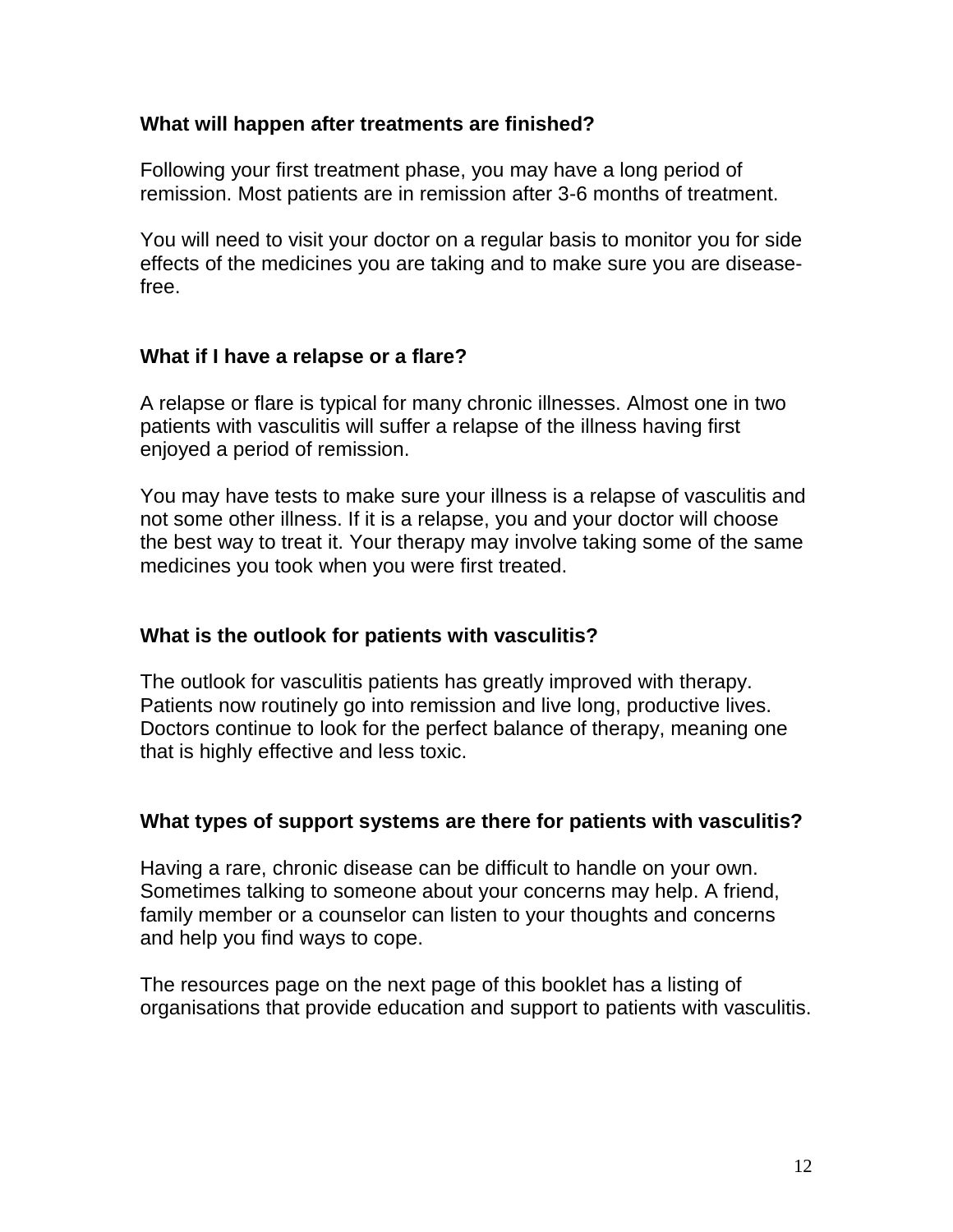#### **What will happen after treatments are finished?**

Following your first treatment phase, you may have a long period of remission. Most patients are in remission after 3-6 months of treatment.

You will need to visit your doctor on a regular basis to monitor you for side effects of the medicines you are taking and to make sure you are diseasefree.

# **What if I have a relapse or a flare?**

A relapse or flare is typical for many chronic illnesses. Almost one in two patients with vasculitis will suffer a relapse of the illness having first enjoyed a period of remission.

You may have tests to make sure your illness is a relapse of vasculitis and not some other illness. If it is a relapse, you and your doctor will choose the best way to treat it. Your therapy may involve taking some of the same medicines you took when you were first treated.

# **What is the outlook for patients with vasculitis?**

The outlook for vasculitis patients has greatly improved with therapy. Patients now routinely go into remission and live long, productive lives. Doctors continue to look for the perfect balance of therapy, meaning one that is highly effective and less toxic.

# **What types of support systems are there for patients with vasculitis?**

Having a rare, chronic disease can be difficult to handle on your own. Sometimes talking to someone about your concerns may help. A friend, family member or a counselor can listen to your thoughts and concerns and help you find ways to cope.

The resources page on the next page of this booklet has a listing of organisations that provide education and support to patients with vasculitis.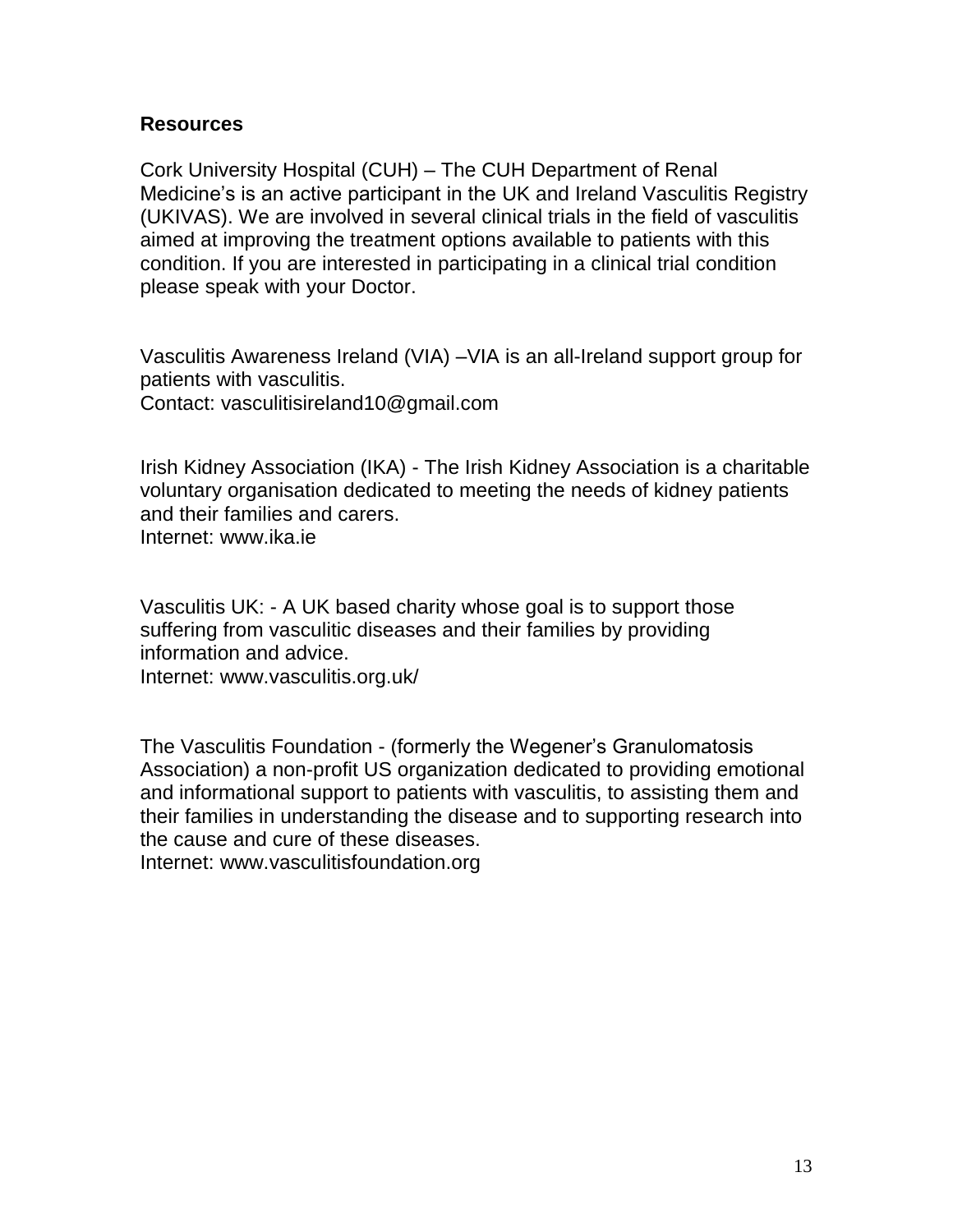### **Resources**

Cork University Hospital (CUH) – The CUH Department of Renal Medicine's is an active participant in the UK and Ireland Vasculitis Registry (UKIVAS). We are involved in several clinical trials in the field of vasculitis aimed at improving the treatment options available to patients with this condition. If you are interested in participating in a clinical trial condition please speak with your Doctor.

Vasculitis Awareness Ireland (VIA) –VIA is an all-Ireland support group for patients with vasculitis. Contact: [vasculitisireland10@gmail.com](mailto:vasculitisireland10@gmail.com)

Irish Kidney Association (IKA) - The Irish Kidney Association is a charitable voluntary organisation dedicated to meeting the needs of kidney patients and their families and carers. Internet: [www.ika.ie](http://www.ika.ie/)

Vasculitis UK: - A UK based charity whose goal is to support those suffering from vasculitic diseases and their families by providing information and advice.

Internet: [www.vasculitis.org.uk/](http://www.vasculitis.org.uk/)

The Vasculitis Foundation - (formerly the Wegener's Granulomatosis Association) a non-profit US organization dedicated to providing emotional and informational support to patients with vasculitis, to assisting them and their families in understanding the disease and to supporting research into the cause and cure of these diseases.

Internet: [www.vasculitisfoundation.org](http://www.vasculitisfoundation.org/)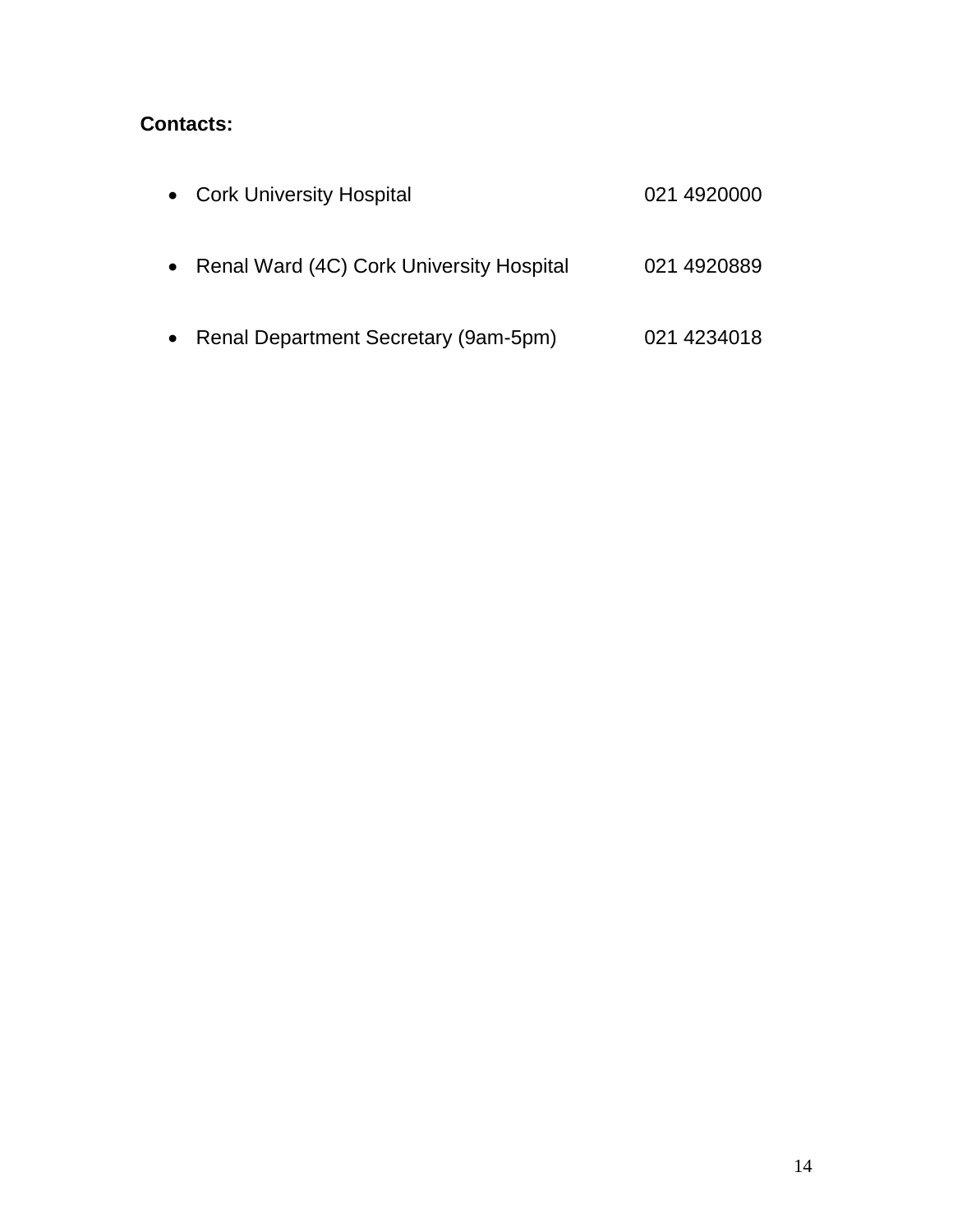# **Contacts:**

| • Cork University Hospital                 | 021 4920000 |
|--------------------------------------------|-------------|
| • Renal Ward (4C) Cork University Hospital | 021 4920889 |
| • Renal Department Secretary (9am-5pm)     | 021 4234018 |